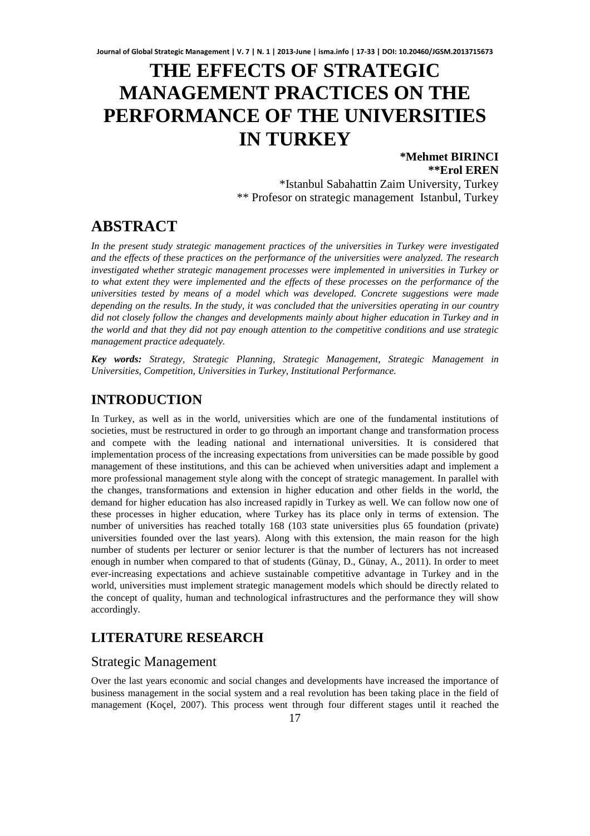# **THE EFFECTS OF STRATEGIC MANAGEMENT PRACTICES ON THE PERFORMANCE OF THE UNIVERSITIES IN TURKEY**

#### **\*Mehmet BIRINCI \*\*Erol EREN** \*Istanbul Sabahattin Zaim University, Turkey \*\* Profesor on strategic management Istanbul, Turkey

# **ABSTRACT**

*In the present study strategic management practices of the universities in Turkey were investigated and the effects of these practices on the performance of the universities were analyzed. The research investigated whether strategic management processes were implemented in universities in Turkey or to what extent they were implemented and the effects of these processes on the performance of the universities tested by means of a model which was developed. Concrete suggestions were made depending on the results. In the study, it was concluded that the universities operating in our country did not closely follow the changes and developments mainly about higher education in Turkey and in the world and that they did not pay enough attention to the competitive conditions and use strategic management practice adequately.* 

*Key words: Strategy, Strategic Planning, Strategic Management, Strategic Management in Universities, Competition, Universities in Turkey, Institutional Performance.*

# **INTRODUCTION**

In Turkey, as well as in the world, universities which are one of the fundamental institutions of societies, must be restructured in order to go through an important change and transformation process and compete with the leading national and international universities. It is considered that implementation process of the increasing expectations from universities can be made possible by good management of these institutions, and this can be achieved when universities adapt and implement a more professional management style along with the concept of strategic management. In parallel with the changes, transformations and extension in higher education and other fields in the world, the demand for higher education has also increased rapidly in Turkey as well. We can follow now one of these processes in higher education, where Turkey has its place only in terms of extension. The number of universities has reached totally 168 (103 state universities plus 65 foundation (private) universities founded over the last years). Along with this extension, the main reason for the high number of students per lecturer or senior lecturer is that the number of lecturers has not increased enough in number when compared to that of students (Günay, D., Günay, A., 2011). In order to meet ever-increasing expectations and achieve sustainable competitive advantage in Turkey and in the world, universities must implement strategic management models which should be directly related to the concept of quality, human and technological infrastructures and the performance they will show accordingly.

# **LITERATURE RESEARCH**

#### Strategic Management

Over the last years economic and social changes and developments have increased the importance of business management in the social system and a real revolution has been taking place in the field of management (Koçel, 2007). This process went through four different stages until it reached the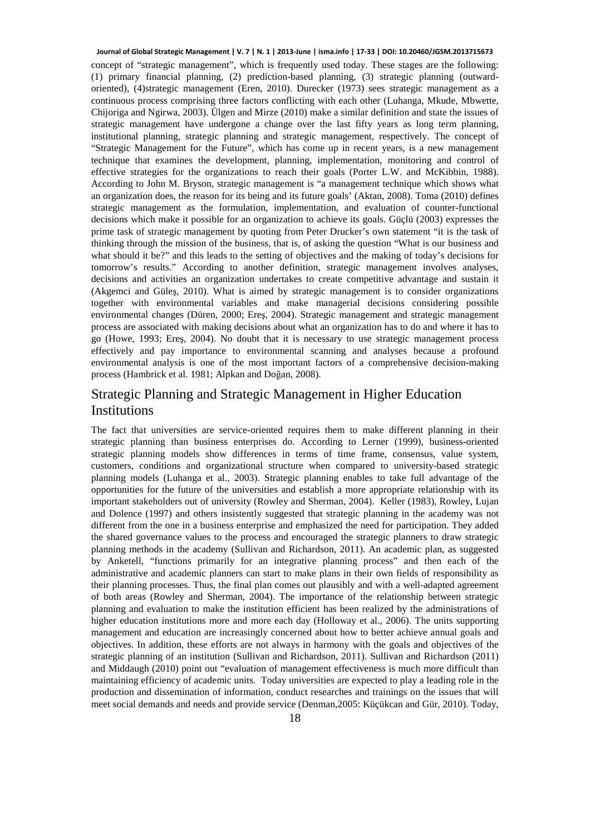concept of "strategic management", which is frequently used today. These stages are the following: (1) primary financial planning, (2) prediction-based planning, (3) strategic planning (outwardoriented), (4)strategic management (Eren, 2010). Durecker (1973) sees strategic management as a continuous process comprising three factors conflicting with each other (Luhanga, Mkude, Mbwette, Chijoriga and Ngirwa, 2003). Ülgen and Mirze (2010) make a similar definition and state the issues of strategic management have undergone a change over the last fifty years as long term planning, institutional planning, strategic planning and strategic management, respectively. The concept of "Strategic Management for the Future", which has come up in recent years, is a new management technique that examines the development, planning, implementation, monitoring and control of effective strategies for the organizations to reach their goals (Porter L.W. and McKibbin, 1988). According to John M. Bryson, strategic management is "a management technique which shows what an organization does, the reason for its being and its future goals' (Aktan, 2008). Toma (2010) defines strategic management as the formulation, implementation, and evaluation of counter-functional decisions which make it possible for an organization to achieve its goals. Güçlü (2003) expresses the prime task of strategic management by quoting from Peter Drucker's own statement "it is the task of thinking through the mission of the business, that is, of asking the question "What is our business and what should it be?" and this leads to the setting of objectives and the making of today's decisions for tomorrow's results." According to another definition, strategic management involves analyses, decisions and activities an organization undertakes to create competitive advantage and sustain it (Akgemci and Güleş, 2010). What is aimed by strategic management is to consider organizations together with environmental variables and make managerial decisions considering possible environmental changes (Düren, 2000; Ereş, 2004). Strategic management and strategic management process are associated with making decisions about what an organization has to do and where it has to go (Howe, 1993; Ereş, 2004). No doubt that it is necessary to use strategic management process effectively and pay importance to environmental scanning and analyses because a profound environmental analysis is one of the most important factors of a comprehensive decision-making process (Hambrick et al. 1981; Alpkan and Doğan, 2008). **Journal of Global Strategic Management | V. 7 | N. 1 | 2013-June | isma.info | 17-33 | DOI: 10.20460/JGSM.2013715673**

## Strategic Planning and Strategic Management in Higher Education Institutions

The fact that universities are service-oriented requires them to make different planning in their strategic planning than business enterprises do. According to Lerner (1999), business-oriented strategic planning models show differences in terms of time frame, consensus, value system, customers, conditions and organizational structure when compared to university-based strategic planning models (Luhanga et al., 2003). Strategic planning enables to take full advantage of the opportunities for the future of the universities and establish a more appropriate relationship with its important stakeholders out of university (Rowley and Sherman, 2004). Keller (1983), Rowley, Lujan and Dolence (1997) and others insistently suggested that strategic planning in the academy was not different from the one in a business enterprise and emphasized the need for participation. They added the shared governance values to the process and encouraged the strategic planners to draw strategic planning methods in the academy (Sullivan and Richardson, 2011). An academic plan, as suggested by Anketell, "functions primarily for an integrative planning process" and then each of the administrative and academic planners can start to make plans in their own fields of responsibility as their planning processes. Thus, the final plan comes out plausibly and with a well-adapted agreement of both areas (Rowley and Sherman, 2004). The importance of the relationship between strategic planning and evaluation to make the institution efficient has been realized by the administrations of higher education institutions more and more each day (Holloway et al., 2006). The units supporting management and education are increasingly concerned about how to better achieve annual goals and objectives. In addition, these efforts are not always in harmony with the goals and objectives of the strategic planning of an institution (Sullivan and Richardson, 2011). Sullivan and Richardson (2011) and Middaugh (2010) point out "evaluation of management effectiveness is much more difficult than maintaining efficiency of academic units. Today universities are expected to play a leading role in the production and dissemination of information, conduct researches and trainings on the issues that will meet social demands and needs and provide service (Denman,2005: Küçükcan and Gür, 2010). Today,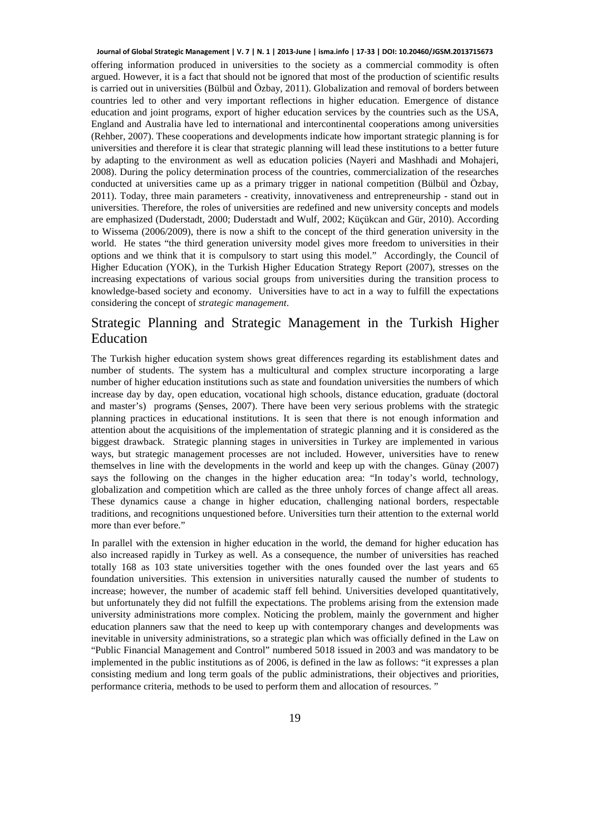offering information produced in universities to the society as a commercial commodity is often argued. However, it is a fact that should not be ignored that most of the production of scientific results is carried out in universities (Bülbül and Özbay, 2011). Globalization and removal of borders between countries led to other and very important reflections in higher education. Emergence of distance education and joint programs, export of higher education services by the countries such as the USA, England and Australia have led to international and intercontinental cooperations among universities (Rehber, 2007). These cooperations and developments indicate how important strategic planning is for universities and therefore it is clear that strategic planning will lead these institutions to a better future by adapting to the environment as well as education policies (Nayeri and Mashhadi and Mohajeri, 2008). During the policy determination process of the countries, commercialization of the researches conducted at universities came up as a primary trigger in national competition (Bülbül and Özbay, 2011). Today, three main parameters - creativity, innovativeness and entrepreneurship - stand out in universities. Therefore, the roles of universities are redefined and new university concepts and models are emphasized (Duderstadt, 2000; Duderstadt and Wulf, 2002; Küçükcan and Gür, 2010). According to Wissema (2006/2009), there is now a shift to the concept of the third generation university in the world. He states "the third generation university model gives more freedom to universities in their options and we think that it is compulsory to start using this model." Accordingly, the Council of Higher Education (YOK), in the Turkish Higher Education Strategy Report (2007), stresses on the increasing expectations of various social groups from universities during the transition process to knowledge-based society and economy. Universities have to act in a way to fulfill the expectations considering the concept of *strategic management*. **Journal of Global Strategic Management | V. 7 | N. 1 | 2013-June | isma.info | 17-33 | DOI: 10.20460/JGSM.2013715673**

# Strategic Planning and Strategic Management in the Turkish Higher Education

The Turkish higher education system shows great differences regarding its establishment dates and number of students. The system has a multicultural and complex structure incorporating a large number of higher education institutions such as state and foundation universities the numbers of which increase day by day, open education, vocational high schools, distance education, graduate (doctoral and master's) programs (Şenses, 2007). There have been very serious problems with the strategic planning practices in educational institutions. It is seen that there is not enough information and attention about the acquisitions of the implementation of strategic planning and it is considered as the biggest drawback. Strategic planning stages in universities in Turkey are implemented in various ways, but strategic management processes are not included. However, universities have to renew themselves in line with the developments in the world and keep up with the changes. Günay (2007) says the following on the changes in the higher education area: "In today's world, technology, globalization and competition which are called as the three unholy forces of change affect all areas. These dynamics cause a change in higher education, challenging national borders, respectable traditions, and recognitions unquestioned before. Universities turn their attention to the external world more than ever before."

In parallel with the extension in higher education in the world, the demand for higher education has also increased rapidly in Turkey as well. As a consequence, the number of universities has reached totally 168 as 103 state universities together with the ones founded over the last years and 65 foundation universities. This extension in universities naturally caused the number of students to increase; however, the number of academic staff fell behind. Universities developed quantitatively, but unfortunately they did not fulfill the expectations. The problems arising from the extension made university administrations more complex. Noticing the problem, mainly the government and higher education planners saw that the need to keep up with contemporary changes and developments was inevitable in university administrations, so a strategic plan which was officially defined in the Law on "Public Financial Management and Control" numbered 5018 issued in 2003 and was mandatory to be implemented in the public institutions as of 2006, is defined in the law as follows: "it expresses a plan consisting medium and long term goals of the public administrations, their objectives and priorities, performance criteria, methods to be used to perform them and allocation of resources. "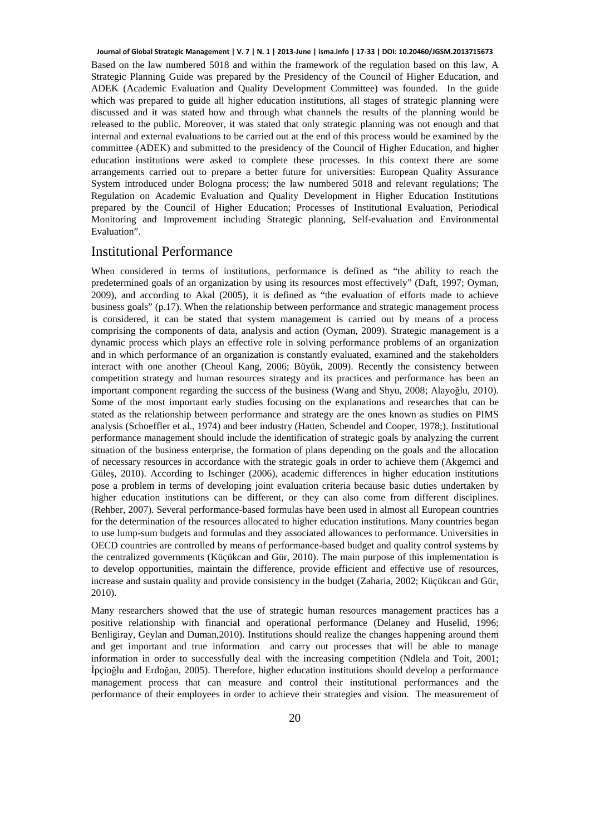Based on the law numbered 5018 and within the framework of the regulation based on this law, A Strategic Planning Guide was prepared by the Presidency of the Council of Higher Education, and ADEK (Academic Evaluation and Quality Development Committee) was founded. In the guide which was prepared to guide all higher education institutions, all stages of strategic planning were discussed and it was stated how and through what channels the results of the planning would be released to the public. Moreover, it was stated that only strategic planning was not enough and that internal and external evaluations to be carried out at the end of this process would be examined by the committee (ADEK) and submitted to the presidency of the Council of Higher Education, and higher education institutions were asked to complete these processes. In this context there are some arrangements carried out to prepare a better future for universities: European Quality Assurance System introduced under Bologna process; the law numbered 5018 and relevant regulations; The Regulation on Academic Evaluation and Quality Development in Higher Education Institutions prepared by the Council of Higher Education; Processes of Institutional Evaluation, Periodical Monitoring and Improvement including Strategic planning, Self-evaluation and Environmental Evaluation". **Journal of Global Strategic Management | V. 7 | N. 1 | 2013-June | isma.info | 17-33 | DOI: 10.20460/JGSM.2013715673**

#### Institutional Performance

When considered in terms of institutions, performance is defined as "the ability to reach the predetermined goals of an organization by using its resources most effectively" (Daft, 1997; Oyman, 2009), and according to Akal (2005), it is defined as "the evaluation of efforts made to achieve business goals" (p.17). When the relationship between performance and strategic management process is considered, it can be stated that system management is carried out by means of a process comprising the components of data, analysis and action (Oyman, 2009). Strategic management is a dynamic process which plays an effective role in solving performance problems of an organization and in which performance of an organization is constantly evaluated, examined and the stakeholders interact with one another (Cheoul Kang, 2006; Büyük, 2009). Recently the consistency between competition strategy and human resources strategy and its practices and performance has been an important component regarding the success of the business (Wang and Shyu, 2008; Alayoğlu, 2010). Some of the most important early studies focusing on the explanations and researches that can be stated as the relationship between performance and strategy are the ones known as studies on PIMS analysis (Schoeffler et al., 1974) and beer industry (Hatten, Schendel and Cooper, 1978;). Institutional performance management should include the identification of strategic goals by analyzing the current situation of the business enterprise, the formation of plans depending on the goals and the allocation of necessary resources in accordance with the strategic goals in order to achieve them (Akgemci and Güleş, 2010). According to Ischinger (2006), academic differences in higher education institutions pose a problem in terms of developing joint evaluation criteria because basic duties undertaken by higher education institutions can be different, or they can also come from different disciplines. (Rehber, 2007). Several performance-based formulas have been used in almost all European countries for the determination of the resources allocated to higher education institutions. Many countries began to use lump-sum budgets and formulas and they associated allowances to performance. Universities in OECD countries are controlled by means of performance-based budget and quality control systems by the centralized governments (Küçükcan and Gür, 2010). The main purpose of this implementation is to develop opportunities, maintain the difference, provide efficient and effective use of resources, increase and sustain quality and provide consistency in the budget (Zaharia, 2002; Küçükcan and Gür, 2010).

Many researchers showed that the use of strategic human resources management practices has a positive relationship with financial and operational performance (Delaney and Huselid, 1996; Benligiray, Geylan and Duman,2010). Institutions should realize the changes happening around them and get important and true information and carry out processes that will be able to manage information in order to successfully deal with the increasing competition (Ndlela and Toit, 2001; İpçioğlu and Erdoğan, 2005). Therefore, higher education institutions should develop a performance management process that can measure and control their institutional performances and the performance of their employees in order to achieve their strategies and vision. The measurement of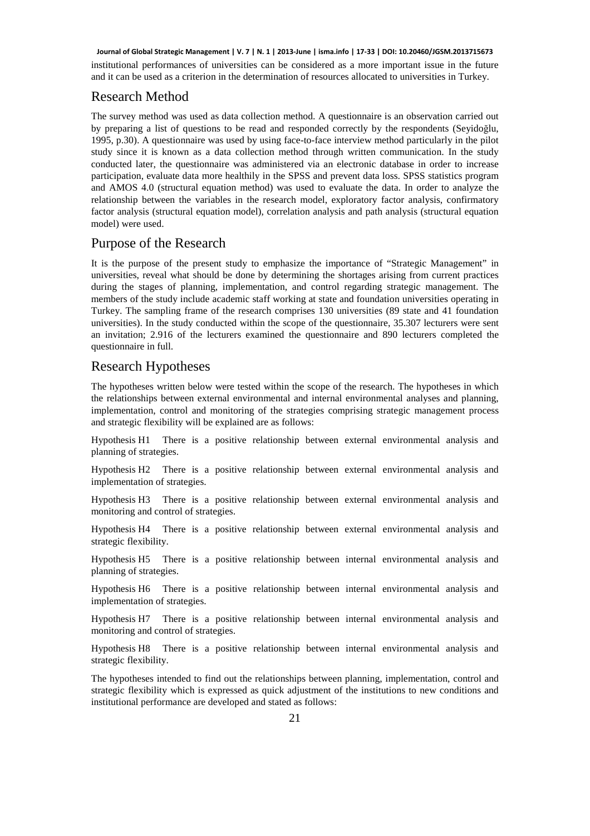institutional performances of universities can be considered as a more important issue in the future and it can be used as a criterion in the determination of resources allocated to universities in Turkey. **Journal of Global Strategic Management | V. 7 | N. 1 | 2013-June | isma.info | 17-33 | DOI: 10.20460/JGSM.2013715673**

## Research Method

The survey method was used as data collection method. A questionnaire is an observation carried out by preparing a list of questions to be read and responded correctly by the respondents (Seyidoğlu, 1995, p.30). A questionnaire was used by using face-to-face interview method particularly in the pilot study since it is known as a data collection method through written communication. In the study conducted later, the questionnaire was administered via an electronic database in order to increase participation, evaluate data more healthily in the SPSS and prevent data loss. SPSS statistics program and AMOS 4.0 (structural equation method) was used to evaluate the data. In order to analyze the relationship between the variables in the research model, exploratory factor analysis, confirmatory factor analysis (structural equation model), correlation analysis and path analysis (structural equation model) were used.

#### Purpose of the Research

It is the purpose of the present study to emphasize the importance of "Strategic Management" in universities, reveal what should be done by determining the shortages arising from current practices during the stages of planning, implementation, and control regarding strategic management. The members of the study include academic staff working at state and foundation universities operating in Turkey. The sampling frame of the research comprises 130 universities (89 state and 41 foundation universities). In the study conducted within the scope of the questionnaire, 35.307 lecturers were sent an invitation; 2.916 of the lecturers examined the questionnaire and 890 lecturers completed the questionnaire in full.

#### Research Hypotheses

The hypotheses written below were tested within the scope of the research. The hypotheses in which the relationships between external environmental and internal environmental analyses and planning, implementation, control and monitoring of the strategies comprising strategic management process and strategic flexibility will be explained are as follows:

Hypothesis H1 There is a positive relationship between external environmental analysis and planning of strategies.

Hypothesis H2 There is a positive relationship between external environmental analysis and implementation of strategies.

Hypothesis H3 There is a positive relationship between external environmental analysis and monitoring and control of strategies.

Hypothesis H4 There is a positive relationship between external environmental analysis and strategic flexibility.

Hypothesis H5 There is a positive relationship between internal environmental analysis and planning of strategies.

Hypothesis H6 There is a positive relationship between internal environmental analysis and implementation of strategies.

Hypothesis H7 There is a positive relationship between internal environmental analysis and monitoring and control of strategies.

Hypothesis H8 There is a positive relationship between internal environmental analysis and strategic flexibility.

The hypotheses intended to find out the relationships between planning, implementation, control and strategic flexibility which is expressed as quick adjustment of the institutions to new conditions and institutional performance are developed and stated as follows: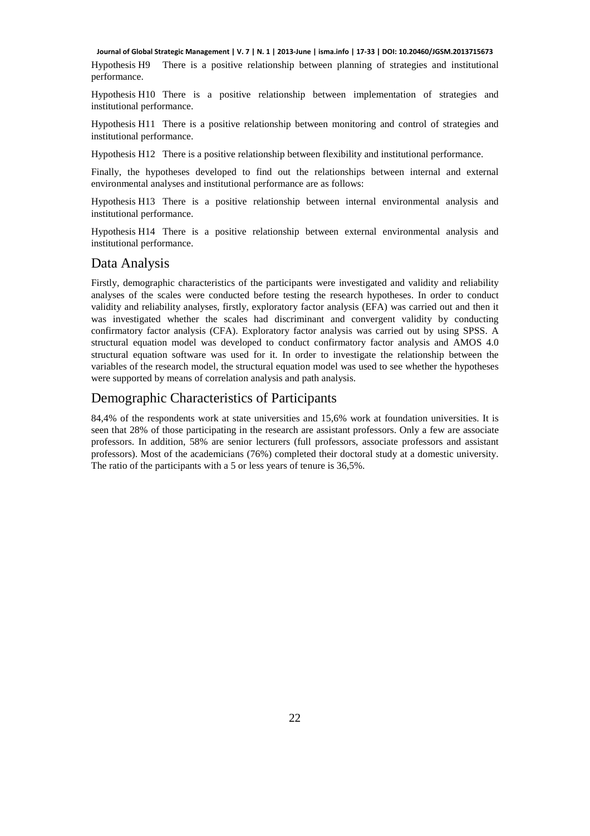Hypothesis H9 There is a positive relationship between planning of strategies and institutional performance. **Journal of Global Strategic Management | V. 7 | N. 1 | 2013-June | isma.info | 17-33 | DOI: 10.20460/JGSM.2013715673**

Hypothesis H10 There is a positive relationship between implementation of strategies and institutional performance.

Hypothesis H11 There is a positive relationship between monitoring and control of strategies and institutional performance.

Hypothesis H12 There is a positive relationship between flexibility and institutional performance.

Finally, the hypotheses developed to find out the relationships between internal and external environmental analyses and institutional performance are as follows:

Hypothesis H13 There is a positive relationship between internal environmental analysis and institutional performance.

Hypothesis H14 There is a positive relationship between external environmental analysis and institutional performance.

#### Data Analysis

Firstly, demographic characteristics of the participants were investigated and validity and reliability analyses of the scales were conducted before testing the research hypotheses. In order to conduct validity and reliability analyses, firstly, exploratory factor analysis (EFA) was carried out and then it was investigated whether the scales had discriminant and convergent validity by conducting confirmatory factor analysis (CFA). Exploratory factor analysis was carried out by using SPSS. A structural equation model was developed to conduct confirmatory factor analysis and AMOS 4.0 structural equation software was used for it. In order to investigate the relationship between the variables of the research model, the structural equation model was used to see whether the hypotheses were supported by means of correlation analysis and path analysis.

#### Demographic Characteristics of Participants

84,4% of the respondents work at state universities and 15,6% work at foundation universities. It is seen that 28% of those participating in the research are assistant professors. Only a few are associate professors. In addition, 58% are senior lecturers (full professors, associate professors and assistant professors). Most of the academicians (76%) completed their doctoral study at a domestic university. The ratio of the participants with a 5 or less years of tenure is 36,5%.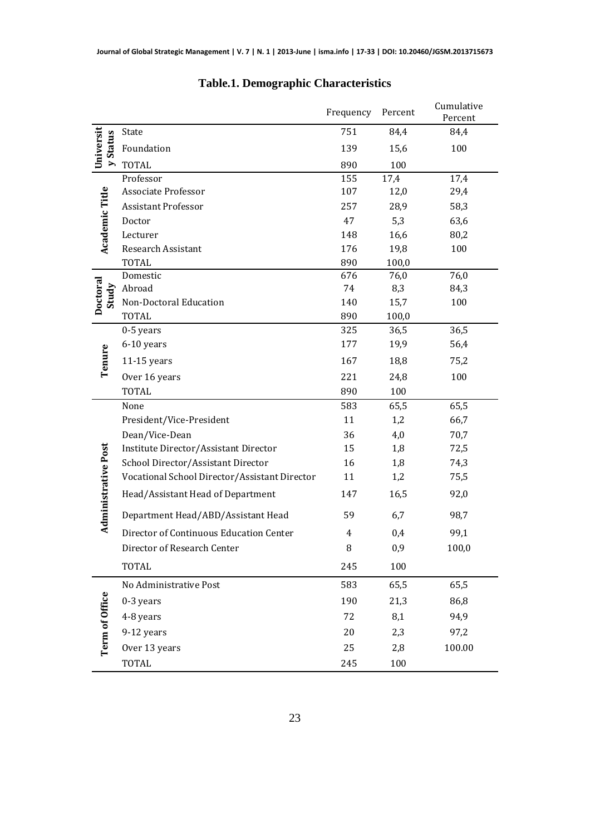|                            |                                               | Frequency | Percent | Cumulative<br>Percent |
|----------------------------|-----------------------------------------------|-----------|---------|-----------------------|
|                            | State                                         | 751       | 84,4    | 84,4                  |
| Universit<br>y Status      | Foundation                                    | 139       | 15,6    | 100                   |
|                            | <b>TOTAL</b>                                  | 890       | 100     |                       |
|                            | Professor                                     | 155       | 17,4    | 17,4                  |
|                            | Associate Professor                           | 107       | 12,0    | 29,4                  |
|                            | <b>Assistant Professor</b>                    | 257       | 28,9    | 58,3                  |
| Academic Title             | Doctor                                        | 47        | 5,3     | 63,6                  |
|                            | Lecturer                                      | 148       | 16,6    | 80,2                  |
|                            | Research Assistant                            | 176       | 19,8    | 100                   |
|                            | <b>TOTAL</b>                                  | 890       | 100,0   |                       |
|                            | Domestic                                      | 676       | 76,0    | 76,0                  |
| Study                      | Abroad                                        | 74        | 8,3     | 84,3                  |
| Doctoral                   | Non-Doctoral Education                        | 140       | 15,7    | 100                   |
|                            | <b>TOTAL</b>                                  | 890       | 100,0   |                       |
|                            | 0-5 years                                     | 325       | 36,5    | 36,5                  |
|                            | 6-10 years                                    | 177       | 19,9    | 56,4                  |
| Tenure                     | 11-15 years                                   | 167       | 18,8    | 75,2                  |
|                            | Over 16 years                                 | 221       | 24,8    | 100                   |
|                            | <b>TOTAL</b>                                  | 890       | 100     |                       |
|                            | None                                          | 583       | 65,5    | 65,5                  |
|                            | President/Vice-President                      | 11        | 1,2     | 66,7                  |
| <b>Administrative Post</b> | Dean/Vice-Dean                                | 36        | 4,0     | 70,7                  |
|                            | Institute Director/Assistant Director         | 15        | 1,8     | 72,5                  |
|                            | School Director/Assistant Director            | 16        | 1,8     | 74,3                  |
|                            | Vocational School Director/Assistant Director | 11        | 1,2     | 75,5                  |
|                            | Head/Assistant Head of Department             | 147       | 16,5    | 92,0                  |
|                            | Department Head/ABD/Assistant Head            | 59        | 6,7     | 98,7                  |
|                            | Director of Continuous Education Center       | 4         | 0,4     | 99,1                  |
|                            | Director of Research Center                   | 8         | 0,9     | 100,0                 |
|                            | <b>TOTAL</b>                                  | 245       | 100     |                       |
|                            | No Administrative Post                        | 583       | 65,5    | 65,5                  |
|                            | 0-3 years                                     | 190       | 21,3    | 86,8                  |
| Term of Office             | 4-8 years                                     | 72        | 8,1     | 94,9                  |
|                            | 9-12 years                                    | 20        | 2,3     | 97,2                  |
|                            | Over 13 years                                 | 25        | 2,8     | 100.00                |
|                            |                                               |           |         |                       |
|                            | <b>TOTAL</b>                                  | 245       | 100     |                       |

# **Table.1. Demographic Characteristics**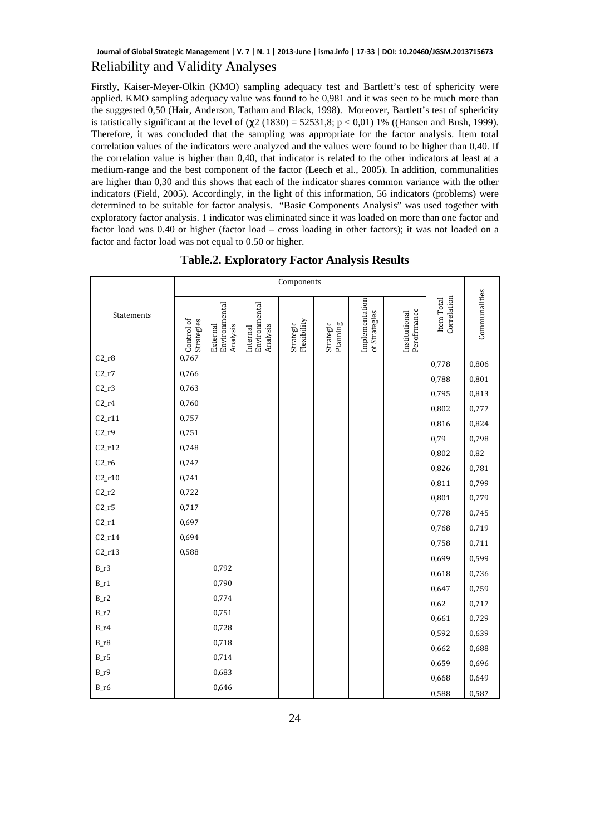# **Journal of Global Strategic Management | V. 7 | N. 1 | 2013-June | isma.info | 17-33 | DOI: 10.20460/JGSM.2013715673**

## Reliability and Validity Analyses

Firstly, Kaiser-Meyer-Olkin (KMO) sampling adequacy test and Bartlett's test of sphericity were applied. KMO sampling adequacy value was found to be 0,981 and it was seen to be much more than the suggested 0,50 (Hair, Anderson, Tatham and Black, 1998). Moreover, Bartlett's test of sphericity is tatistically significant at the level of  $(χ2 (1830) = 52531,8; p < 0,01) 1%$  ((Hansen and Bush, 1999). Therefore, it was concluded that the sampling was appropriate for the factor analysis. Item total correlation values of the indicators were analyzed and the values were found to be higher than 0,40. If the correlation value is higher than 0,40, that indicator is related to the other indicators at least at a medium-range and the best component of the factor (Leech et al., 2005). In addition, communalities are higher than 0,30 and this shows that each of the indicator shares common variance with the other indicators (Field, 2005). Accordingly, in the light of this information, 56 indicators (problems) were determined to be suitable for factor analysis. "Basic Components Analysis" was used together with exploratory factor analysis. 1 indicator was eliminated since it was loaded on more than one factor and factor load was 0.40 or higher (factor load – cross loading in other factors); it was not loaded on a factor and factor load was not equal to 0.50 or higher.

|            | Components               |                                       |                                      |                          |                       |                                 |                             |                           |               |
|------------|--------------------------|---------------------------------------|--------------------------------------|--------------------------|-----------------------|---------------------------------|-----------------------------|---------------------------|---------------|
| Statements | Control of<br>Strategies | Environmental<br>Analysis<br>External | Environmental<br>Analysis<br>nternal | Flexibility<br>Strategic | Planning<br>Strategic | Implementation<br>of Strategies | Perofrmance<br>nstitutional | Correlation<br>Item Total | Communalities |
| $C2_r8$    | 0,767                    |                                       |                                      |                          |                       |                                 |                             | 0,778                     | 0,806         |
| $C2_r7$    | 0,766                    |                                       |                                      |                          |                       |                                 |                             | 0,788                     | 0,801         |
| $C2_r3$    | 0,763                    |                                       |                                      |                          |                       |                                 |                             | 0,795                     | 0,813         |
| $C2_r4$    | 0,760                    |                                       |                                      |                          |                       |                                 |                             | 0,802                     | 0,777         |
| $C2_r11$   | 0,757                    |                                       |                                      |                          |                       |                                 |                             | 0,816                     | 0,824         |
| $C2_r9$    | 0,751                    |                                       |                                      |                          |                       |                                 |                             | 0,79                      | 0,798         |
| $C2_r12$   | 0,748                    |                                       |                                      |                          |                       |                                 |                             | 0,802                     | 0,82          |
| $C2_r6$    | 0,747                    |                                       |                                      |                          |                       |                                 |                             | 0,826                     | 0,781         |
| $C2_r10$   | 0,741                    |                                       |                                      |                          |                       |                                 |                             | 0,811                     | 0,799         |
| $C2_r2$    | 0,722                    |                                       |                                      |                          |                       |                                 |                             | 0,801                     | 0,779         |
| $C2_r5$    | 0,717                    |                                       |                                      |                          |                       |                                 |                             | 0,778                     | 0,745         |
| $C2_r1$    | 0,697                    |                                       |                                      |                          |                       |                                 |                             | 0,768                     | 0,719         |
| $C2_r14$   | 0,694                    |                                       |                                      |                          |                       |                                 |                             | 0,758                     | 0,711         |
| $C2_r13$   | 0,588                    |                                       |                                      |                          |                       |                                 |                             | 0,699                     | 0,599         |
| $B_r3$     |                          | 0,792                                 |                                      |                          |                       |                                 |                             | 0,618                     | 0,736         |
| $B_1r1$    |                          | 0,790                                 |                                      |                          |                       |                                 |                             | 0,647                     | 0,759         |
| $B_r^2$    |                          | 0,774                                 |                                      |                          |                       |                                 |                             | 0,62                      | 0,717         |
| $B_1r7$    |                          | 0,751                                 |                                      |                          |                       |                                 |                             | 0,661                     | 0,729         |
| $B_1r4$    |                          | 0,728                                 |                                      |                          |                       |                                 |                             | 0,592                     | 0,639         |
| $B_r8$     |                          | 0,718                                 |                                      |                          |                       |                                 |                             | 0,662                     | 0,688         |
| $B_r5$     |                          | 0,714                                 |                                      |                          |                       |                                 |                             | 0,659                     | 0,696         |
| $B_1r9$    |                          | 0,683                                 |                                      |                          |                       |                                 |                             | 0,668                     | 0,649         |
| $B_$ r6    |                          | 0,646                                 |                                      |                          |                       |                                 |                             | 0,588                     | 0,587         |

**Table.2. Exploratory Factor Analysis Results**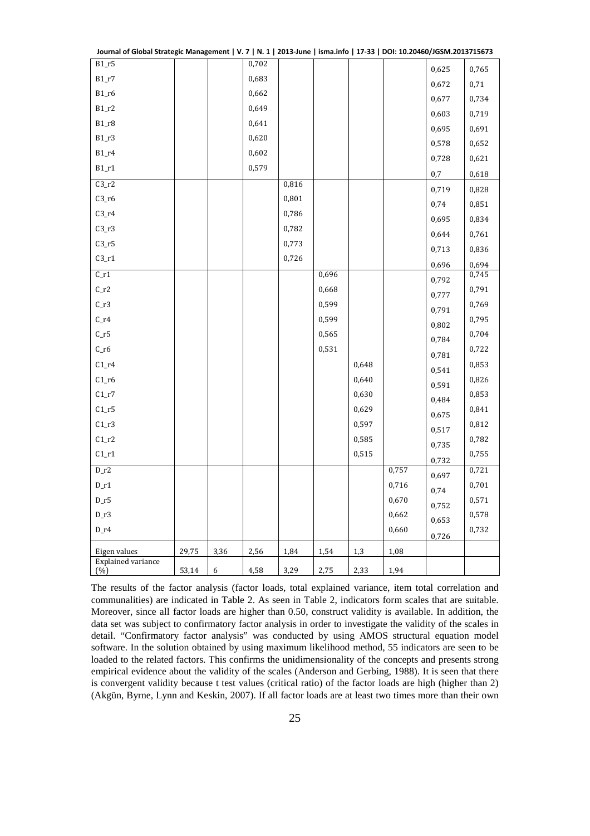| Journal of Global Strategic Management   V. 7   N. 1   2013-June   isma.info   17-33   DOI: 10.20460/JGSM.2013715673 |       |      |       |       |       |       |       |       |       |
|----------------------------------------------------------------------------------------------------------------------|-------|------|-------|-------|-------|-------|-------|-------|-------|
| $B1_r5$                                                                                                              |       |      | 0,702 |       |       |       |       | 0,625 | 0,765 |
| $B1_r7$                                                                                                              |       |      | 0,683 |       |       |       |       | 0,672 | 0,71  |
| $B1_r6$                                                                                                              |       |      | 0,662 |       |       |       |       | 0,677 | 0,734 |
| $B1_r2$                                                                                                              |       |      | 0,649 |       |       |       |       | 0,603 | 0,719 |
| $B1_r8$                                                                                                              |       |      | 0,641 |       |       |       |       | 0,695 | 0,691 |
| $B1_r3$                                                                                                              |       |      | 0,620 |       |       |       |       | 0,578 | 0,652 |
| $B1_r4$                                                                                                              |       |      | 0,602 |       |       |       |       | 0,728 | 0,621 |
| $B1_r1$                                                                                                              |       |      | 0,579 |       |       |       |       | 0,7   | 0,618 |
| $C3_r2$                                                                                                              |       |      |       | 0,816 |       |       |       | 0,719 | 0,828 |
| $C3_r6$                                                                                                              |       |      |       | 0,801 |       |       |       | 0,74  | 0,851 |
| $C3_r4$                                                                                                              |       |      |       | 0,786 |       |       |       | 0,695 | 0,834 |
| $C3_r3$                                                                                                              |       |      |       | 0,782 |       |       |       | 0,644 | 0,761 |
| $C3_r5$                                                                                                              |       |      |       | 0,773 |       |       |       | 0,713 | 0,836 |
| $C3_r1$                                                                                                              |       |      |       | 0,726 |       |       |       | 0,696 | 0,694 |
| $C_1r1$                                                                                                              |       |      |       |       | 0,696 |       |       | 0,792 | 0,745 |
| $C_1r2$                                                                                                              |       |      |       |       | 0,668 |       |       | 0,777 | 0,791 |
| $C_1$ .                                                                                                              |       |      |       |       | 0,599 |       |       | 0,791 | 0,769 |
| $C_1r4$                                                                                                              |       |      |       |       | 0,599 |       |       | 0,802 | 0,795 |
| $C_1r5$                                                                                                              |       |      |       |       | 0,565 |       |       | 0,784 | 0,704 |
| $C_$ r6                                                                                                              |       |      |       |       | 0,531 |       |       | 0,781 | 0,722 |
| $C1_r4$                                                                                                              |       |      |       |       |       | 0,648 |       | 0,541 | 0,853 |
| $C1_r6$                                                                                                              |       |      |       |       |       | 0,640 |       | 0,591 | 0,826 |
| $C1_r7$                                                                                                              |       |      |       |       |       | 0,630 |       | 0,484 | 0,853 |
| $C1_r5$                                                                                                              |       |      |       |       |       | 0,629 |       | 0,675 | 0,841 |
| $C1_r3$                                                                                                              |       |      |       |       |       | 0,597 |       | 0,517 | 0,812 |
| $C1_r2$                                                                                                              |       |      |       |       |       | 0,585 |       | 0,735 | 0,782 |
| $C1_r1$                                                                                                              |       |      |       |       |       | 0,515 |       | 0,732 | 0,755 |
| $D_r^2$                                                                                                              |       |      |       |       |       |       | 0,757 | 0,697 | 0,721 |
| $D_r1$                                                                                                               |       |      |       |       |       |       | 0,716 | 0,74  | 0,701 |
| $D_r5$                                                                                                               |       |      |       |       |       |       | 0,670 | 0,752 | 0,571 |
| $D_r3$                                                                                                               |       |      |       |       |       |       | 0,662 | 0,653 | 0,578 |
| $D_r4$                                                                                                               |       |      |       |       |       |       | 0,660 | 0,726 | 0,732 |
| Eigen values                                                                                                         | 29,75 | 3,36 | 2,56  | 1,84  | 1,54  | 1,3   | 1,08  |       |       |
| <b>Explained variance</b><br>(%)                                                                                     | 53,14 | 6    | 4,58  | 3,29  | 2,75  | 2,33  | 1,94  |       |       |
|                                                                                                                      |       |      |       |       |       |       |       |       |       |

The results of the factor analysis (factor loads, total explained variance, item total correlation and communalities) are indicated in Table 2. As seen in Table 2, indicators form scales that are suitable. Moreover, since all factor loads are higher than 0.50, construct validity is available. In addition, the data set was subject to confirmatory factor analysis in order to investigate the validity of the scales in detail. "Confirmatory factor analysis" was conducted by using AMOS structural equation model software. In the solution obtained by using maximum likelihood method, 55 indicators are seen to be loaded to the related factors. This confirms the unidimensionality of the concepts and presents strong empirical evidence about the validity of the scales (Anderson and Gerbing, 1988). It is seen that there is convergent validity because t test values (critical ratio) of the factor loads are high (higher than 2) (Akgün, Byrne, Lynn and Keskin, 2007). If all factor loads are at least two times more than their own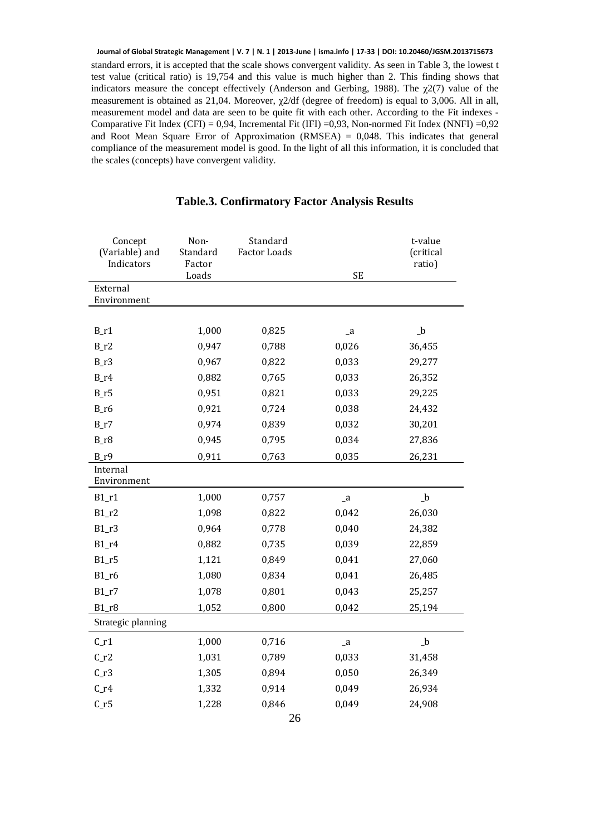standard errors, it is accepted that the scale shows convergent validity. As seen in Table 3, the lowest t test value (critical ratio) is 19,754 and this value is much higher than 2. This finding shows that indicators measure the concept effectively (Anderson and Gerbing, 1988). The  $\gamma$ 2(7) value of the measurement is obtained as 21,04. Moreover,  $\gamma$ 2/df (degree of freedom) is equal to 3,006. All in all, measurement model and data are seen to be quite fit with each other. According to the Fit indexes - Comparative Fit Index (CFI) = 0,94, Incremental Fit (IFI) =0,93, Non-normed Fit Index (NNFI) =0,92 and Root Mean Square Error of Approximation  $(RMSEA) = 0.048$ . This indicates that general compliance of the measurement model is good. In the light of all this information, it is concluded that the scales (concepts) have convergent validity. **Journal of Global Strategic Management | V. 7 | N. 1 | 2013-June | isma.info | 17-33 | DOI: 10.20460/JGSM.2013715673**

| Concept<br>(Variable) and<br>Indicators | Non-<br>Standard<br>Factor | Standard<br><b>Factor Loads</b> |              | t-value<br>(critical<br>ratio) |
|-----------------------------------------|----------------------------|---------------------------------|--------------|--------------------------------|
|                                         | Loads                      |                                 | <b>SE</b>    |                                |
| External<br>Environment                 |                            |                                 |              |                                |
|                                         |                            |                                 |              |                                |
| $B_1r1$                                 | 1,000                      | 0,825                           | $\mathsf{a}$ | $\_b$                          |
| $B_r^2$                                 | 0,947                      | 0,788                           | 0,026        | 36,455                         |
| $B_r3$                                  | 0,967                      | 0,822                           | 0,033        | 29,277                         |
| $B_1r4$                                 | 0,882                      | 0,765                           | 0,033        | 26,352                         |
| $B_r5$                                  | 0,951                      | 0,821                           | 0,033        | 29,225                         |
| $B_$ r6                                 | 0,921                      | 0,724                           | 0,038        | 24,432                         |
| $B_r7$                                  | 0,974                      | 0,839                           | 0,032        | 30,201                         |
| $B_r8$                                  | 0,945                      | 0,795                           | 0,034        | 27,836                         |
| $B_r9$                                  | 0,911                      | 0,763                           | 0,035        | 26,231                         |
| Internal<br>Environment                 |                            |                                 |              |                                |
| $B1_r1$                                 | 1,000                      | 0,757                           | $\mathsf{a}$ | $_b$                           |
| $B1_r2$                                 | 1,098                      | 0,822                           | 0,042        | 26,030                         |
| $B1_r3$                                 | 0,964                      | 0,778                           | 0,040        | 24,382                         |
| $B1_r4$                                 | 0,882                      | 0,735                           | 0,039        | 22,859                         |
| $B1_r5$                                 | 1,121                      | 0,849                           | 0,041        | 27,060                         |
| $B1_r6$                                 | 1,080                      | 0,834                           | 0,041        | 26,485                         |
| $B1_r7$                                 | 1,078                      | 0,801                           | 0,043        | 25,257                         |
| $B1_r8$                                 | 1,052                      | 0,800                           | 0,042        | 25,194                         |
| Strategic planning                      |                            |                                 |              |                                |
| $C_1r1$                                 | 1,000                      | 0,716                           | $\mathsf{a}$ | $_b$                           |
| $C_1r2$                                 | 1,031                      | 0,789                           | 0,033        | 31,458                         |
| $C_1$                                   | 1,305                      | 0,894                           | 0,050        | 26,349                         |
| $C_1$ r4                                | 1,332                      | 0,914                           | 0,049        | 26,934                         |
| $C_1r5$                                 | 1,228                      | 0,846                           | 0,049        | 24,908                         |
|                                         |                            |                                 |              |                                |

## **Table.3. Confirmatory Factor Analysis Results**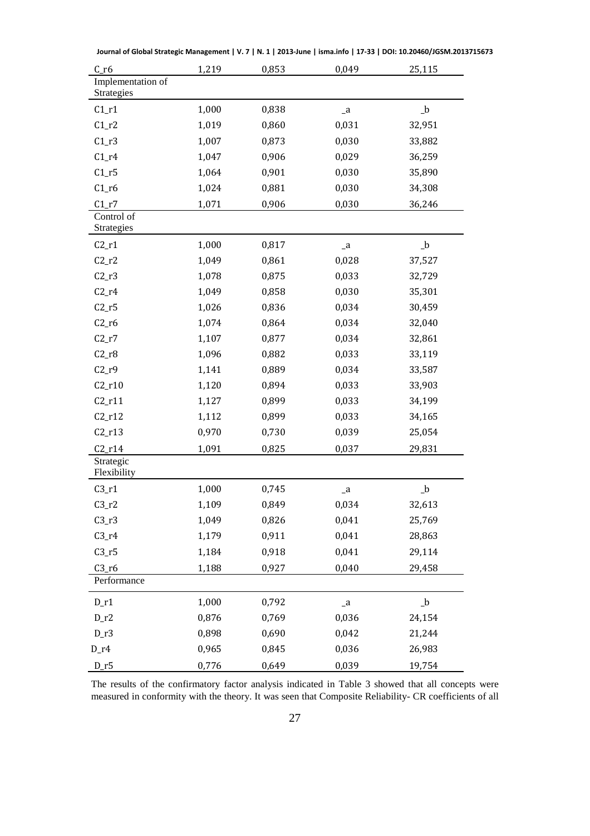| $C_$ r6                         | 1,219 | 0,853 | 0,049        | 25,115       |
|---------------------------------|-------|-------|--------------|--------------|
| Implementation of<br>Strategies |       |       |              |              |
| $C1_r1$                         | 1,000 | 0,838 | $\mathsf{a}$ | $_b$         |
| $C1_r2$                         | 1,019 | 0,860 | 0,031        | 32,951       |
| $C1_r3$                         | 1,007 | 0,873 | 0,030        | 33,882       |
| $C1_r4$                         | 1,047 | 0,906 | 0,029        | 36,259       |
| $C1_r5$                         | 1,064 | 0,901 | 0,030        | 35,890       |
| $C1_r6$                         | 1,024 | 0,881 | 0,030        | 34,308       |
| $C1_r7$                         | 1,071 | 0,906 | 0,030        | 36,246       |
| Control of<br>Strategies        |       |       |              |              |
| $C2_r1$                         | 1,000 | 0,817 | $\mathsf{a}$ | $_b$         |
| $C2_r2$                         | 1,049 | 0,861 | 0,028        | 37,527       |
| $C2_r3$                         | 1,078 | 0,875 | 0,033        | 32,729       |
| $C2_r4$                         | 1,049 | 0,858 | 0,030        | 35,301       |
| $C2_r5$                         | 1,026 | 0,836 | 0,034        | 30,459       |
| $C2_r6$                         | 1,074 | 0,864 | 0,034        | 32,040       |
| $C2_r7$                         | 1,107 | 0,877 | 0,034        | 32,861       |
| $C2_r8$                         | 1,096 | 0,882 | 0,033        | 33,119       |
| $C2_r9$                         | 1,141 | 0,889 | 0,034        | 33,587       |
| $C2_r10$                        | 1,120 | 0,894 | 0,033        | 33,903       |
| $C2_r11$                        | 1,127 | 0,899 | 0,033        | 34,199       |
| $C2_r12$                        | 1,112 | 0,899 | 0,033        | 34,165       |
| $C2_r13$                        | 0,970 | 0,730 | 0,039        | 25,054       |
| $C2_r14$                        | 1,091 | 0,825 | 0,037        | 29,831       |
| Strategic<br>Flexibility        |       |       |              |              |
| $C3_r1$                         | 1,000 | 0,745 | $\mathsf{a}$ | $\mathbf{b}$ |
| $C3_r2$                         | 1,109 | 0,849 | 0,034        | 32,613       |
| $C3_r3$                         | 1,049 | 0,826 | 0,041        | 25,769       |
| $C3_r4$                         | 1,179 | 0,911 | 0,041        | 28,863       |
| $C3_r5$                         | 1,184 | 0,918 | 0,041        | 29,114       |
| $C3_r6$                         | 1,188 | 0,927 | 0,040        | 29,458       |
| Performance                     |       |       |              |              |
| $D_r1$                          | 1,000 | 0,792 | $\mathsf{a}$ | $_b$         |
| $D_r^2$                         | 0,876 | 0,769 | 0,036        | 24,154       |
| $D_r3$                          | 0,898 | 0,690 | 0,042        | 21,244       |
| $D_1$                           | 0,965 | 0,845 | 0,036        | 26,983       |
| $D_r5$                          | 0,776 | 0,649 | 0,039        | 19,754       |

**Journal of Global Strategic Management | V. 7 | N. 1 | 2013-June | isma.info | 17-33 | DOI: 10.20460/JGSM.2013715673**

The results of the confirmatory factor analysis indicated in Table 3 showed that all concepts were measured in conformity with the theory. It was seen that Composite Reliability- CR coefficients of all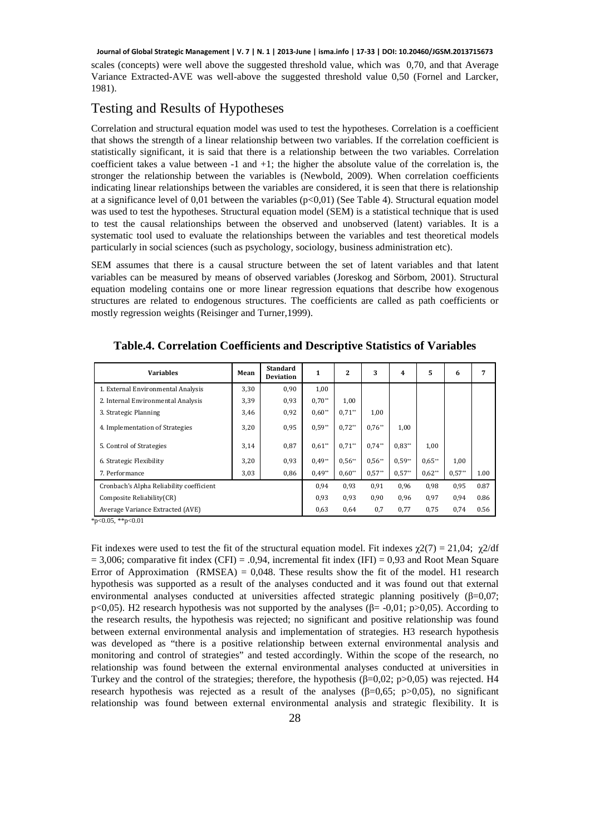scales (concepts) were well above the suggested threshold value, which was 0,70, and that Average Variance Extracted-AVE was well-above the suggested threshold value 0,50 (Fornel and Larcker, 1981). **Journal of Global Strategic Management | V. 7 | N. 1 | 2013-June | isma.info | 17-33 | DOI: 10.20460/JGSM.2013715673**

# Testing and Results of Hypotheses

Correlation and structural equation model was used to test the hypotheses. Correlation is a coefficient that shows the strength of a linear relationship between two variables. If the correlation coefficient is statistically significant, it is said that there is a relationship between the two variables. Correlation coefficient takes a value between  $-1$  and  $+1$ ; the higher the absolute value of the correlation is, the stronger the relationship between the variables is (Newbold, 2009). When correlation coefficients indicating linear relationships between the variables are considered, it is seen that there is relationship at a significance level of 0,01 between the variables  $(p<0,01)$  (See Table 4). Structural equation model was used to test the hypotheses. Structural equation model (SEM) is a statistical technique that is used to test the causal relationships between the observed and unobserved (latent) variables. It is a systematic tool used to evaluate the relationships between the variables and test theoretical models particularly in social sciences (such as psychology, sociology, business administration etc).

SEM assumes that there is a causal structure between the set of latent variables and that latent variables can be measured by means of observed variables (Joreskog and Sörbom, 2001). Structural equation modeling contains one or more linear regression equations that describe how exogenous structures are related to endogenous structures. The coefficients are called as path coefficients or mostly regression weights (Reisinger and Turner,1999).

| <b>Variables</b>                         | Mean | <b>Standard</b><br><b>Deviation</b> | 1        | 2        | 3        | 4        | 5        | 6        | 7    |
|------------------------------------------|------|-------------------------------------|----------|----------|----------|----------|----------|----------|------|
| 1. External Environmental Analysis       | 3,30 | 0,90                                | 1,00     |          |          |          |          |          |      |
| 2. Internal Environmental Analysis       | 3,39 | 0.93                                | $0.70**$ | 1,00     |          |          |          |          |      |
| 3. Strategic Planning                    | 3,46 | 0,92                                | $0.60**$ | $0.71**$ | 1,00     |          |          |          |      |
| 4. Implementation of Strategies          | 3,20 | 0,95                                | $0.59**$ | $0.72**$ | $0.76**$ | 1,00     |          |          |      |
| 5. Control of Strategies                 | 3,14 | 0,87                                | $0.61**$ | $0.71**$ | $0.74**$ | $0.83**$ | 1,00     |          |      |
| 6. Strategic Flexibility                 | 3,20 | 0,93                                | $0.49**$ | $0.56**$ | $0.56**$ | $0.59**$ | $0.65**$ | 1,00     |      |
| 7. Performance                           | 3,03 | 0,86                                | $0.49**$ | $0.60**$ | $0.57**$ | $0.57**$ | $0.62**$ | $0.57**$ | 1.00 |
| Cronbach's Alpha Reliability coefficient |      |                                     | 0,94     | 0,93     | 0,91     | 0,96     | 0,98     | 0,95     | 0.87 |
| Composite Reliability(CR)                |      |                                     | 0,93     | 0,93     | 0,90     | 0,96     | 0,97     | 0,94     | 0.86 |
| Average Variance Extracted (AVE)         |      |                                     | 0.63     | 0.64     | 0,7      | 0.77     | 0.75     | 0,74     | 0.56 |

**Table.4. Correlation Coefficients and Descriptive Statistics of Variables** 

 $*p<0.05$ ,  $*p<0.01$ 

Fit indexes were used to test the fit of the structural equation model. Fit indexes  $\chi(27) = 21.04$ ;  $\chi(2)/df$  $= 3,006$ ; comparative fit index (CFI) = .0,94, incremental fit index (IFI) = 0,93 and Root Mean Square Error of Approximation (RMSEA) =  $0.048$ . These results show the fit of the model. H1 research hypothesis was supported as a result of the analyses conducted and it was found out that external environmental analyses conducted at universities affected strategic planning positively (β=0,07; p<0,05). H2 research hypothesis was not supported by the analyses ( $\beta$ = -0,01; p>0,05). According to the research results, the hypothesis was rejected; no significant and positive relationship was found between external environmental analysis and implementation of strategies. H3 research hypothesis was developed as "there is a positive relationship between external environmental analysis and monitoring and control of strategies" and tested accordingly. Within the scope of the research, no relationship was found between the external environmental analyses conducted at universities in Turkey and the control of the strategies; therefore, the hypothesis ( $\beta$ =0,02; p>0,05) was rejected. H4 research hypothesis was rejected as a result of the analyses (β=0,65; p>0,05), no significant relationship was found between external environmental analysis and strategic flexibility. It is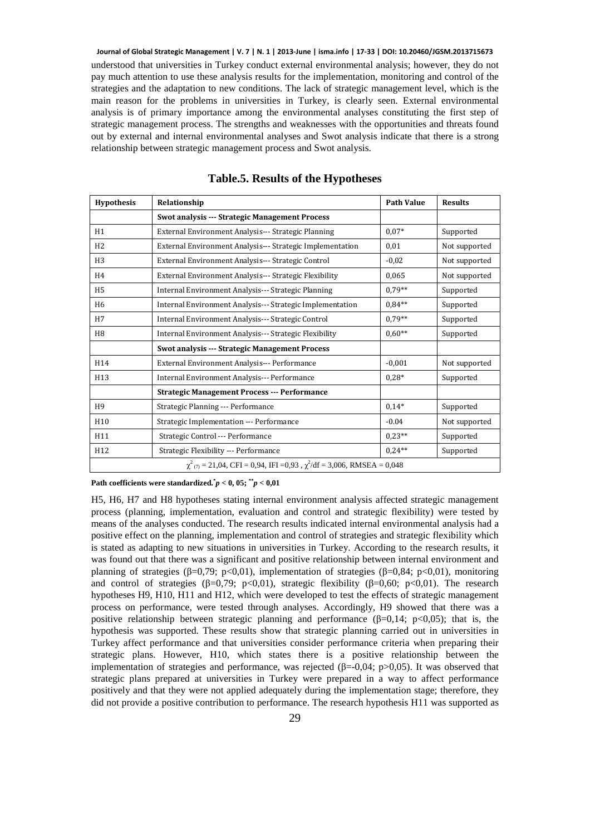understood that universities in Turkey conduct external environmental analysis; however, they do not pay much attention to use these analysis results for the implementation, monitoring and control of the strategies and the adaptation to new conditions. The lack of strategic management level, which is the main reason for the problems in universities in Turkey, is clearly seen. External environmental analysis is of primary importance among the environmental analyses constituting the first step of strategic management process. The strengths and weaknesses with the opportunities and threats found out by external and internal environmental analyses and Swot analysis indicate that there is a strong relationship between strategic management process and Swot analysis. **Journal of Global Strategic Management | V. 7 | N. 1 | 2013-June | isma.info | 17-33 | DOI: 10.20460/JGSM.2013715673**

| <b>Hypothesis</b> | Relationship                                                                      | <b>Path Value</b> | <b>Results</b> |
|-------------------|-----------------------------------------------------------------------------------|-------------------|----------------|
|                   | Swot analysis --- Strategic Management Process                                    |                   |                |
| H1                | External Environment Analysis--- Strategic Planning                               | $0.07*$           | Supported      |
| H <sub>2</sub>    | External Environment Analysis--- Strategic Implementation                         | 0,01              | Not supported  |
| H <sub>3</sub>    | External Environment Analysis--- Strategic Control                                | $-0.02$           | Not supported  |
| H <sub>4</sub>    | External Environment Analysis--- Strategic Flexibility                            | 0,065             | Not supported  |
| H <sub>5</sub>    | Internal Environment Analysis--- Strategic Planning                               | $0.79**$          | Supported      |
| H <sub>6</sub>    | Internal Environment Analysis--- Strategic Implementation                         | $0.84**$          | Supported      |
| H7                | Internal Environment Analysis--- Strategic Control                                | $0.79**$          | Supported      |
| H <sub>8</sub>    | Internal Environment Analysis--- Strategic Flexibility                            | $0.60**$          | Supported      |
|                   | <b>Swot analysis --- Strategic Management Process</b>                             |                   |                |
| H14               | External Environment Analysis--- Performance                                      | $-0,001$          | Not supported  |
| H <sub>13</sub>   | Internal Environment Analysis--- Performance                                      | $0.28*$           | Supported      |
|                   | <b>Strategic Management Process --- Performance</b>                               |                   |                |
| H <sub>9</sub>    | Strategic Planning --- Performance                                                | $0,14*$           | Supported      |
| H <sub>10</sub>   | Strategic Implementation --- Performance                                          | $-0.04$           | Not supported  |
| H11               | Strategic Control --- Performance                                                 | $0.23**$          | Supported      |
| H12               | Strategic Flexibility --- Performance                                             | $0.24**$          | Supported      |
|                   | $\chi^2$ (7) = 21,04, CFI = 0,94, IFI = 0,93, $\chi^2$ /df = 3,006, RMSEA = 0,048 |                   |                |

**Table.5. Results of the Hypotheses** 

Path coefficients were standardized. $^{*}p < 0$ , 05;  $^{**}p < 0.01$ 

H5, H6, H7 and H8 hypotheses stating internal environment analysis affected strategic management process (planning, implementation, evaluation and control and strategic flexibility) were tested by means of the analyses conducted. The research results indicated internal environmental analysis had a positive effect on the planning, implementation and control of strategies and strategic flexibility which is stated as adapting to new situations in universities in Turkey. According to the research results, it was found out that there was a significant and positive relationship between internal environment and planning of strategies ( $\beta$ =0,79; p<0,01), implementation of strategies ( $\beta$ =0,84; p<0,01), monitoring and control of strategies ( $\beta$ =0,79; p<0,01), strategic flexibility ( $\beta$ =0,60; p<0,01). The research hypotheses H9, H10, H11 and H12, which were developed to test the effects of strategic management process on performance, were tested through analyses. Accordingly, H9 showed that there was a positive relationship between strategic planning and performance ( $\beta$ =0,14; p<0,05); that is, the hypothesis was supported. These results show that strategic planning carried out in universities in Turkey affect performance and that universities consider performance criteria when preparing their strategic plans. However, H10, which states there is a positive relationship between the implementation of strategies and performance, was rejected (β=-0,04; p>0,05). It was observed that strategic plans prepared at universities in Turkey were prepared in a way to affect performance positively and that they were not applied adequately during the implementation stage; therefore, they did not provide a positive contribution to performance. The research hypothesis H11 was supported as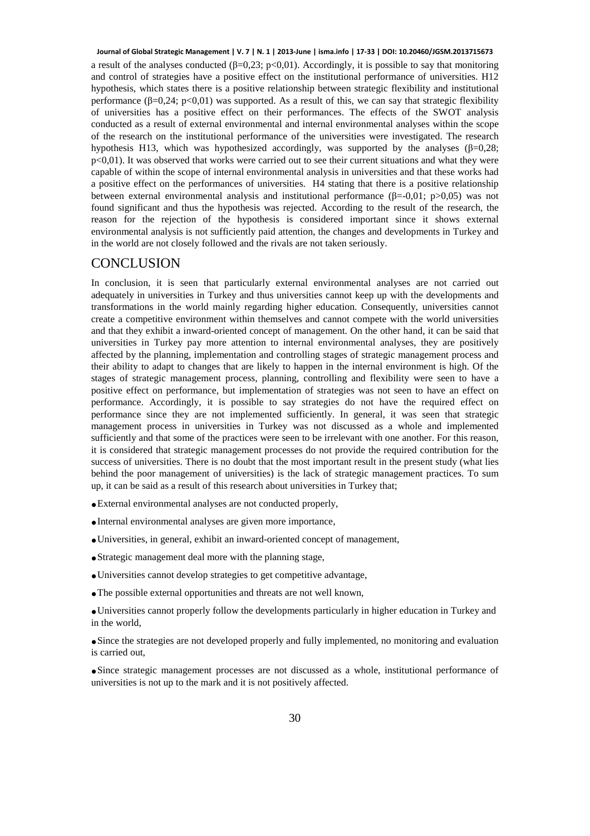a result of the analyses conducted ( $\beta$ =0,23; p<0,01). Accordingly, it is possible to say that monitoring and control of strategies have a positive effect on the institutional performance of universities. H12 hypothesis, which states there is a positive relationship between strategic flexibility and institutional performance  $(\beta=0,24; \, p<0,01)$  was supported. As a result of this, we can say that strategic flexibility of universities has a positive effect on their performances. The effects of the SWOT analysis conducted as a result of external environmental and internal environmental analyses within the scope of the research on the institutional performance of the universities were investigated. The research hypothesis H13, which was hypothesized accordingly, was supported by the analyses  $(\beta=0.28;$  $p<0,01$ ). It was observed that works were carried out to see their current situations and what they were capable of within the scope of internal environmental analysis in universities and that these works had a positive effect on the performances of universities. H4 stating that there is a positive relationship between external environmental analysis and institutional performance  $(\beta = 0.01; p > 0.05)$  was not found significant and thus the hypothesis was rejected. According to the result of the research, the reason for the rejection of the hypothesis is considered important since it shows external environmental analysis is not sufficiently paid attention, the changes and developments in Turkey and in the world are not closely followed and the rivals are not taken seriously. **Journal of Global Strategic Management | V. 7 | N. 1 | 2013-June | isma.info | 17-33 | DOI: 10.20460/JGSM.2013715673**

#### **CONCLUSION**

In conclusion, it is seen that particularly external environmental analyses are not carried out adequately in universities in Turkey and thus universities cannot keep up with the developments and transformations in the world mainly regarding higher education. Consequently, universities cannot create a competitive environment within themselves and cannot compete with the world universities and that they exhibit a inward-oriented concept of management. On the other hand, it can be said that universities in Turkey pay more attention to internal environmental analyses, they are positively affected by the planning, implementation and controlling stages of strategic management process and their ability to adapt to changes that are likely to happen in the internal environment is high. Of the stages of strategic management process, planning, controlling and flexibility were seen to have a positive effect on performance, but implementation of strategies was not seen to have an effect on performance. Accordingly, it is possible to say strategies do not have the required effect on performance since they are not implemented sufficiently. In general, it was seen that strategic management process in universities in Turkey was not discussed as a whole and implemented sufficiently and that some of the practices were seen to be irrelevant with one another. For this reason, it is considered that strategic management processes do not provide the required contribution for the success of universities. There is no doubt that the most important result in the present study (what lies behind the poor management of universities) is the lack of strategic management practices. To sum up, it can be said as a result of this research about universities in Turkey that;

- **.**External environmental analyses are not conducted properly,
- **.**Internal environmental analyses are given more importance,
- **.**Universities, in general, exhibit an inward-oriented concept of management,
- **.**Strategic management deal more with the planning stage,
- **.**Universities cannot develop strategies to get competitive advantage,
- **.**The possible external opportunities and threats are not well known,

**.**Universities cannot properly follow the developments particularly in higher education in Turkey and in the world,

**.**Since the strategies are not developed properly and fully implemented, no monitoring and evaluation is carried out,

**.**Since strategic management processes are not discussed as a whole, institutional performance of universities is not up to the mark and it is not positively affected.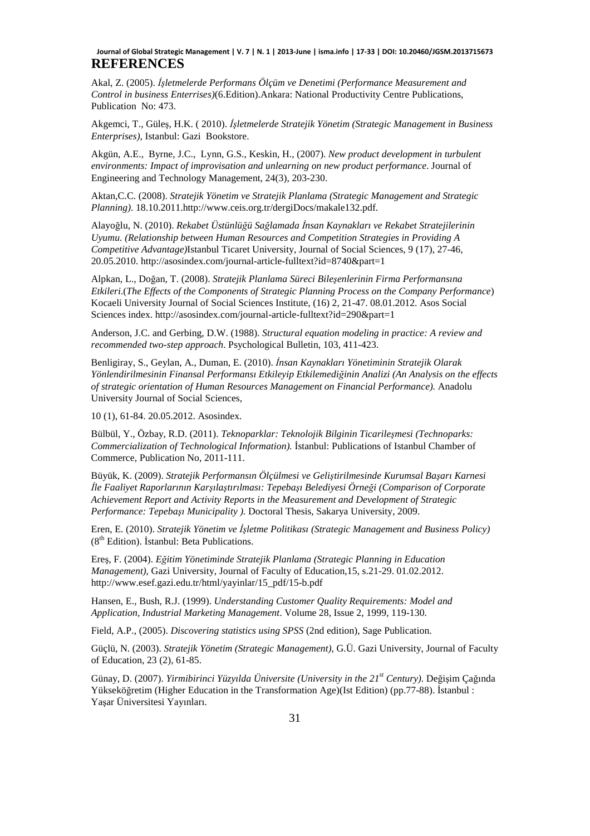#### **REFERENCES Journal of Global Strategic Management | V. 7 | N. 1 | 2013-June | isma.info | 17-33 | DOI: 10.20460/JGSM.2013715673**

Akal, Z. (2005). *İşletmelerde Performans Ölçüm ve Denetimi (Performance Measurement and Control in business Enterrises)*(6.Edition).Ankara: National Productivity Centre Publications, Publication No: 473.

Akgemci, T., Güleş, H.K. ( 2010). *İşletmelerde Stratejik Yönetim (Strategic Management in Business Enterprises)*, Istanbul: Gazi Bookstore.

Akgün, A.E., Byrne, J.C., Lynn, G.S., Keskin, H., (2007). *New product development in turbulent environments: Impact of improvisation and unlearning on new product performance*. Journal of Engineering and Technology Management, 24(3), 203-230.

Aktan,C.C. (2008). *Stratejik Yönetim ve Stratejik Planlama (Strategic Management and Strategic Planning)*. 18.10.2011.http://www.ceis.org.tr/dergiDocs/makale132.pdf.

Alayoğlu, N. (2010). *Rekabet Üstünlüğü Sağlamada İnsan Kaynakları ve Rekabet Stratejilerinin Uyumu. (Relationship between Human Resources and Competition Strategies in Providing A Competitive Advantage)*Istanbul Ticaret University, Journal of Social Sciences, 9 (17), 27-46, 20.05.2010. http://asosindex.com/journal-article-fulltext?id=8740&part=1

Alpkan, L., Doğan, T. (2008). *Stratejik Planlama Süreci Bileşenlerinin Firma Performansına Etkileri*.(*The Effects of the Components of Strategic Planning Process on the Company Performance*) Kocaeli University Journal of Social Sciences Institute, (16) 2, 21-47. 08.01.2012. Asos Social Sciences index. http://asosindex.com/journal-article-fulltext?id=290&part=1

Anderson, J.C. and Gerbing, D.W. (1988). *Structural equation modeling in practice: A review and recommended two-step approach*. Psychological Bulletin, 103, 411-423.

Benligiray, S., Geylan, A., Duman, E. (2010). *İnsan Kaynakları Yönetiminin Stratejik Olarak Yönlendirilmesinin Finansal Performansı Etkileyip Etkilemediğinin Analizi (An Analysis on the effects of strategic orientation of Human Resources Management on Financial Performance).* Anadolu University Journal of Social Sciences,

10 (1), 61-84. 20.05.2012. Asosindex.

Bülbül, Y., Özbay, R.D. (2011). *Teknoparklar: Teknolojik Bilginin Ticarileşmesi (Technoparks: Commercialization of Technological Information).* İstanbul: Publications of Istanbul Chamber of Commerce, Publication No, 2011-111.

Büyük, K. (2009). *Stratejik Performansın Ölçülmesi ve Geliştirilmesinde Kurumsal Başarı Karnesi İle Faaliyet Raporlarının Karşılaştırılması: Tepebaşı Belediyesi Örneği (Comparison of Corporate Achievement Report and Activity Reports in the Measurement and Development of Strategic Performance: Tepebaşı Municipality ).* Doctoral Thesis, Sakarya University, 2009.

Eren, E. (2010). *Stratejik Yönetim ve İşletme Politikası (Strategic Management and Business Policy)*  $(8<sup>th</sup> Edition)$ . İstanbul: Beta Publications.

Ereş, F. (2004). *Eğitim Yönetiminde Stratejik Planlama (Strategic Planning in Education Management)*, Gazi University, Journal of Faculty of Education,15, s.21-29. 01.02.2012. http://www.esef.gazi.edu.tr/html/yayinlar/15\_pdf/15-b.pdf

Hansen, E., Bush, R.J. (1999). *Understanding Customer Quality Requirements: Model and Application, Industrial Marketing Management*. Volume 28, Issue 2, 1999, 119-130.

Field, A.P., (2005). *Discovering statistics using SPSS* (2nd edition), Sage Publication.

Güçlü, N. (2003). *Stratejik Yönetim (Strategic Management)*, G.Ü. Gazi University, Journal of Faculty of Education, 23 (2), 61-85.

Günay, D. (2007). *Yirmibirinci Yüzyılda Üniversite (University in the 21st Century)*. Değişim Çağında Yükseköğretim (Higher Education in the Transformation Age)(Ist Edition) (pp.77-88). İstanbul : Yaşar Üniversitesi Yayınları.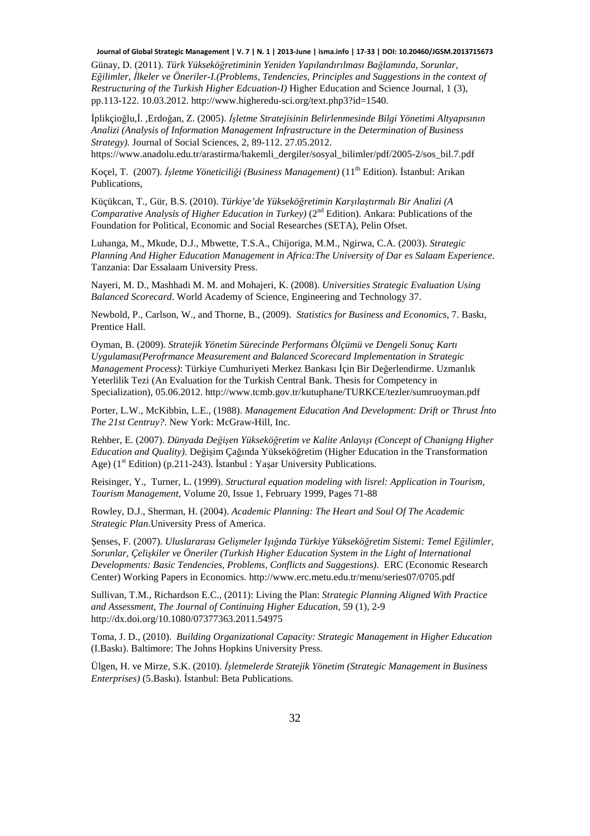**Journal of Global Strategic Management | V. 7 | N. 1 | 2013-June | isma.info | 17-33 | DOI: 10.20460/JGSM.2013715673**

Günay, D. (2011). *Türk Yükseköğretiminin Yeniden Yapılandırılması Bağlamında, Sorunlar, Eğilimler, İlkeler ve Öneriler-I.(Problems, Tendencies, Principles and Suggestions in the context of Restructuring of the Turkish Higher Edcuation-I)* Higher Education and Science Journal, 1 (3), pp.113-122. 10.03.2012. http://www.higheredu-sci.org/text.php3?id=1540.

İplikçioğlu,İ. ,Erdoğan, Z. (2005). *İşletme Stratejisinin Belirlenmesinde Bilgi Yönetimi Altyapısının Analizi (Analysis of Information Management Infrastructure in the Determination of Business Strategy).* Journal of Social Sciences, 2, 89-112. 27.05.2012.

https://www.anadolu.edu.tr/arastirma/hakemli\_dergiler/sosyal\_bilimler/pdf/2005-2/sos\_bil.7.pdf

Koçel, T. (2007). *İşletme Yöneticiliği (Business Management)* (11th Edition). İstanbul: Arıkan Publications,

Küçükcan, T., Gür, B.S. (2010). *Türkiye'de Yükseköğretimin Karşılaştırmalı Bir Analizi (A Comparative Analysis of Higher Education in Turkey*) (2<sup>nd</sup> Edition). Ankara: Publications of the Foundation for Political, Economic and Social Researches (SETA), Pelin Ofset.

Luhanga, M., Mkude, D.J., Mbwette, T.S.A., Chijoriga, M.M., Ngirwa, C.A. (2003). *Strategic Planning And Higher Education Management in Africa:The University of Dar es Salaam Experience.*  Tanzania: Dar Essalaam University Press.

Nayeri, M. D., Mashhadi M. M. and Mohajeri, K. (2008). *Universities Strategic Evaluation Using Balanced Scorecard*. World Academy of Science, Engineering and Technology 37.

Newbold, P., Carlson, W., and Thorne, B., (2009). *Statistics for Business and Economics*, 7. Baskı, Prentice Hall.

Oyman, B. (2009). *Stratejik Yönetim Sürecinde Performans Ölçümü ve Dengeli Sonuç Kartı Uygulaması(Perofrmance Measurement and Balanced Scorecard Implementation in Strategic Management Process)*: Türkiye Cumhuriyeti Merkez Bankası İçin Bir Değerlendirme. Uzmanlık Yeterlilik Tezi (An Evaluation for the Turkish Central Bank. Thesis for Competency in Specialization), 05.06.2012. http://www.tcmb.gov.tr/kutuphane/TURKCE/tezler/sumruoyman.pdf

Porter, L.W., McKibbin, L.E., (1988). *Management Education And Development: Drift or Thrust İnto The 21st Centruy?*. New York: McGraw-Hill, Inc.

Rehber, E. (2007). *Dünyada Değişen Yükseköğretim ve Kalite Anlayışı (Concept of Chanigng Higher Education and Quality)*. Değişim Çağında Yükseköğretim (Higher Education in the Transformation Age) (1<sup>st</sup> Edition) (p.211-243). İstanbul : Yaşar University Publications.

Reisinger, Y., Turner, L. (1999). *Structural equation modeling with lisrel: Application in Tourism, Tourism Management*, Volume 20, Issue 1, February 1999, Pages 71-88

Rowley, D.J., Sherman, H. (2004). *Academic Planning: The Heart and Soul Of The Academic Strategic Plan.*University Press of America.

Şenses, F. (2007). *Uluslararası Gelişmeler Işığında Türkiye Yükseköğretim Sistemi: Temel Eğilimler, Sorunlar, Çelişkiler ve Öneriler (Turkish Higher Education System in the Light of International Developments: Basic Tendencies, Problems, Conflicts and Suggestions)*. ERC (Economic Research Center) Working Papers in Economics. http://www.erc.metu.edu.tr/menu/series07/0705.pdf

Sullivan, T.M., Richardson E.C., (2011): Living the Plan: *Strategic Planning Aligned With Practice and Assessment, The Journal of Continuing Higher Education*, 59 (1), 2-9 http://dx.doi.org/10.1080/07377363.2011.54975

Toma, J. D., (2010). *Building Organizational Capacity: Strategic Management in Higher Education* (I.Baskı). Baltimore: The Johns Hopkins University Press.

Ülgen, H. ve Mirze, S.K. (2010). *İşletmelerde Stratejik Yönetim (Strategic Management in Business Enterprises)* (5.Baskı). İstanbul: Beta Publications.